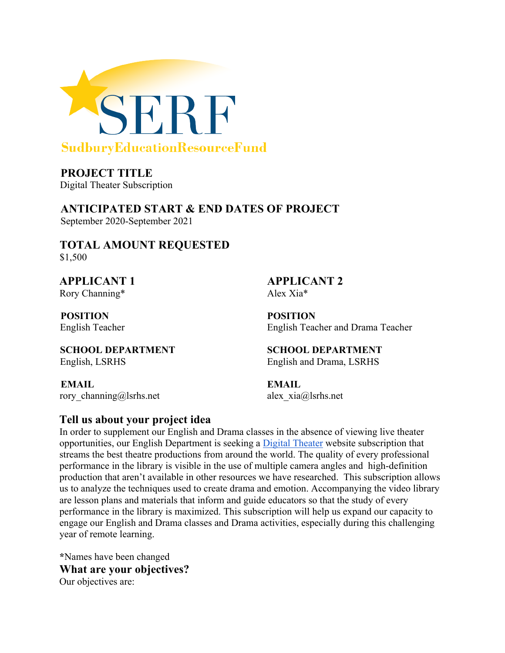

**PROJECT TITLE** Digital Theater Subscription

**ANTICIPATED START & END DATES OF PROJECT**  September 2020-September 2021

**TOTAL AMOUNT REQUESTED** \$1,500

Rory Channing\* Alex Xia\*

**POSITION POSITION** 

**APPLICANT 1 APPLICANT 2** 

English Teacher English Teacher and Drama Teacher

**SCHOOL DEPARTMENT SCHOOL DEPARTMENT**  English, LSRHS English and Drama, LSRHS

**EMAIL EMAIL**  rory\_channin[g@l](mailto:educator_a@sudbury.k12.ma.us)srhs.net alex\_xi[a@l](mailto:educator_b@sudbury.k12.ma.us)srhs.net

#### **Tell us about your project idea**

In order to supplement our English and Drama classes in the absence of viewing live theater opportunities, our English Department is seeking a [Digital Theater](https://www.digitaltheatre.com/consumer/dt-registration/subscribe) website subscription that streams the best theatre productions from around the world. The quality of every professional performance in the library is visible in the use of multiple camera angles and high-definition production that aren't available in other resources we have researched. This subscription allows us to analyze the techniques used to create drama and emotion. Accompanying the video library are lesson plans and materials that inform and guide educators so that the study of every performance in the library is maximized. This subscription will help us expand our capacity to engage our English and Drama classes and Drama activities, especially during this challenging year of remote learning.

**\***Names have been changed **What are your objectives?** Our objectives are: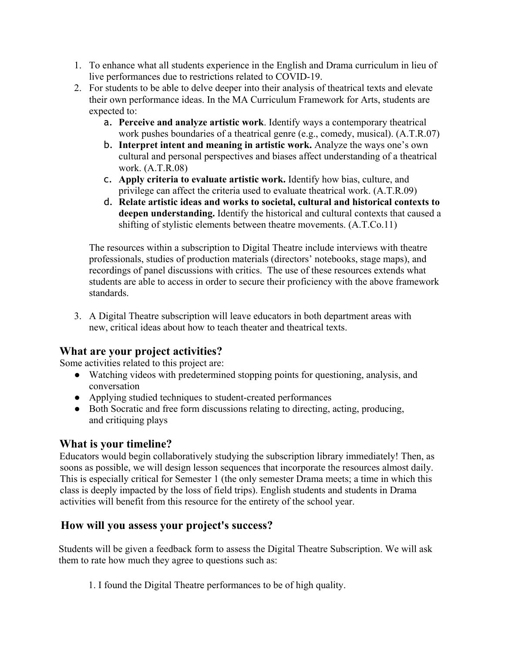- 1. To enhance what all students experience in the English and Drama curriculum in lieu of live performances due to restrictions related to COVID-19.
- 2. For students to be able to delve deeper into their analysis of theatrical texts and elevate their own performance ideas. In the MA Curriculum Framework for Arts, students are expected to:
	- a. **Perceive and analyze artistic work**. Identify ways a contemporary theatrical work pushes boundaries of a theatrical genre (e.g., comedy, musical). (A.T.R.07)
	- b. **Interpret intent and meaning in artistic work.** Analyze the ways one's own cultural and personal perspectives and biases affect understanding of a theatrical work. (A.T.R.08)
	- c. **Apply criteria to evaluate artistic work.** Identify how bias, culture, and privilege can affect the criteria used to evaluate theatrical work. (A.T.R.09)
	- d. **Relate artistic ideas and works to societal, cultural and historical contexts to deepen understanding.** Identify the historical and cultural contexts that caused a shifting of stylistic elements between theatre movements. (A.T.Co.11)

The resources within a subscription to Digital Theatre include interviews with theatre professionals, studies of production materials (directors' notebooks, stage maps), and recordings of panel discussions with critics. The use of these resources extends what students are able to access in order to secure their proficiency with the above framework standards.

3. A Digital Theatre subscription will leave educators in both department areas with new, critical ideas about how to teach theater and theatrical texts.

#### **What are your project activities?**

Some activities related to this project are:

- Watching videos with predetermined stopping points for questioning, analysis, and conversation
- Applying studied techniques to student-created performances
- Both Socratic and free form discussions relating to directing, acting, producing, and critiquing plays

# **What is your timeline?**

Educators would begin collaboratively studying the subscription library immediately! Then, as soons as possible, we will design lesson sequences that incorporate the resources almost daily. This is especially critical for Semester 1 (the only semester Drama meets; a time in which this class is deeply impacted by the loss of field trips). English students and students in Drama activities will benefit from this resource for the entirety of the school year.

# **How will you assess your project's success?**

Students will be given a feedback form to assess the Digital Theatre Subscription. We will ask them to rate how much they agree to questions such as:

1. I found the Digital Theatre performances to be of high quality.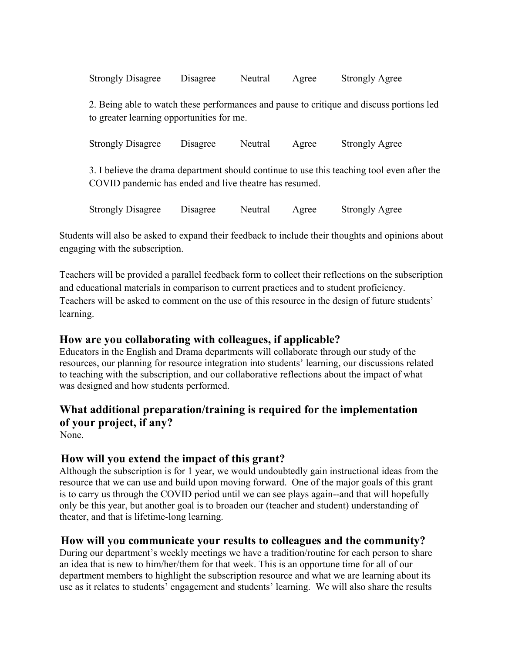| <b>Strongly Disagree</b>                                                                                                              | Disagree | Neutral | Agree | <b>Strongly Agree</b>                                                                      |  |  |
|---------------------------------------------------------------------------------------------------------------------------------------|----------|---------|-------|--------------------------------------------------------------------------------------------|--|--|
| 2. Being able to watch these performances and pause to critique and discuss portions led<br>to greater learning opportunities for me. |          |         |       |                                                                                            |  |  |
| <b>Strongly Disagree</b>                                                                                                              | Disagree | Neutral | Agree | <b>Strongly Agree</b>                                                                      |  |  |
| COVID pandemic has ended and live theatre has resumed.                                                                                |          |         |       | 3. I believe the drama department should continue to use this teaching tool even after the |  |  |

Strongly Disagree Disagree Neutral Agree Strongly Agree

Students will also be asked to expand their feedback to include their thoughts and opinions about engaging with the subscription.

Teachers will be provided a parallel feedback form to collect their reflections on the subscription and educational materials in comparison to current practices and to student proficiency. Teachers will be asked to comment on the use of this resource in the design of future students' learning.

#### **How are you collaborating with colleagues, if applicable?**

Educators in the English and Drama departments will collaborate through our study of the resources, our planning for resource integration into students' learning, our discussions related to teaching with the subscription, and our collaborative reflections about the impact of what was designed and how students performed.

# **What additional preparation/training is required for the implementation of your project, if any?**

None.

# **How will you extend the impact of this grant?**

Although the subscription is for 1 year, we would undoubtedly gain instructional ideas from the resource that we can use and build upon moving forward. One of the major goals of this grant is to carry us through the COVID period until we can see plays again--and that will hopefully only be this year, but another goal is to broaden our (teacher and student) understanding of theater, and that is lifetime-long learning.

#### **How will you communicate your results to colleagues and the community?**

During our department's weekly meetings we have a tradition/routine for each person to share an idea that is new to him/her/them for that week. This is an opportune time for all of our department members to highlight the subscription resource and what we are learning about its use as it relates to students' engagement and students' learning. We will also share the results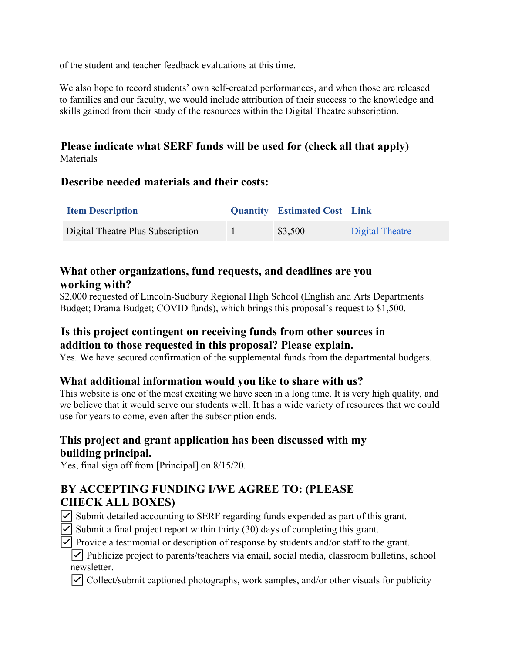of the student and teacher feedback evaluations at this time.

We also hope to record students' own self-created performances, and when those are released to families and our faculty, we would include attribution of their success to the knowledge and skills gained from their study of the resources within the Digital Theatre subscription.

**Please indicate what SERF funds will be used for (check all that apply) Materials** 

#### **Describe needed materials and their costs:**

| <b>Item Description</b>           | <b>Quantity</b> Estimated Cost Link |                 |
|-----------------------------------|-------------------------------------|-----------------|
| Digital Theatre Plus Subscription | \$3,500                             | Digital Theatre |

#### **What other organizations, fund requests, and deadlines are you working with?**

\$2,000 requested of Lincoln-Sudbury Regional High School (English and Arts Departments Budget; Drama Budget; COVID funds), which brings this proposal's request to \$1,500.

## **Is this project contingent on receiving funds from other sources in addition to those requested in this proposal? Please explain.**

Yes. We have secured confirmation of the supplemental funds from the departmental budgets.

#### **What additional information would you like to share with us?**

This website is one of the most exciting we have seen in a long time. It is very high quality, and we believe that it would serve our students well. It has a wide variety of resources that we could use for years to come, even after the subscription ends.

## **This project and grant application has been discussed with my building principal.**

Yes, final sign off from [Principal] on 8/15/20.

# **BY ACCEPTING FUNDING I/WE AGREE TO: (PLEASE CHECK ALL BOXES)**

- ☑ Submit detailed accounting to SERF regarding funds expended as part of this grant.
- $\triangledown$  Submit a final project report within thirty (30) days of completing this grant.
- ☑ Provide a testimonial or description of response by students and/or staff to the grant.

☑ Publicize project to parents/teachers via email, social media, classroom bulletins, school newsletter.

☑ Collect/submit captioned photographs, work samples, and/or other visuals for publicity